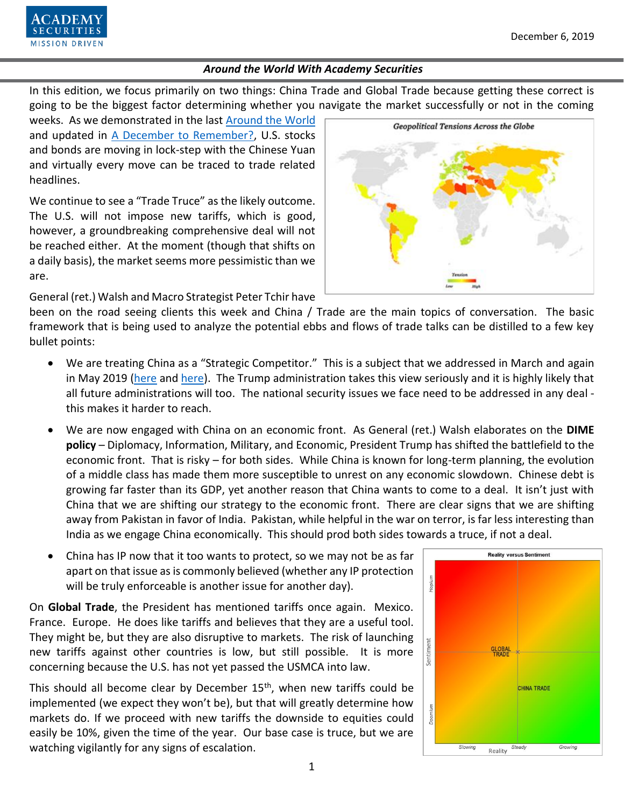

In this edition, we focus primarily on two things: China Trade and Global Trade because getting these correct is going to be the biggest factor determining whether you navigate the market successfully or not in the coming

weeks. As we demonstrated in the last [Around the World](https://www.academysecurities.com/wordpress/wp-content/uploads/2019/11/Around-the-World-with-Academy-Securities-Nov-15.pdf) and updated in [A December to Remember?,](https://www.academysecurities.com/wordpress/wp-content/uploads/2019/12/A-December-to-Remember_vBL-2.pdf) U.S. stocks and bonds are moving in lock-step with the Chinese Yuan and virtually every move can be traced to trade related headlines.

We continue to see a "Trade Truce" as the likely outcome. The U.S. will not impose new tariffs, which is good, however, a groundbreaking comprehensive deal will not be reached either. At the moment (though that shifts on a daily basis), the market seems more pessimistic than we are.



General (ret.) Walsh and Macro Strategist Peter Tchir have

been on the road seeing clients this week and China / Trade are the main topics of conversation. The basic framework that is being used to analyze the potential ebbs and flows of trade talks can be distilled to a few key bullet points:

- We are treating China as a "Strategic Competitor." This is a subject that we addressed in March and again in May 2019 [\(here](https://www.academysecurities.com/wordpress/wp-content/uploads/2019/04/China-Geopolitics-Macro-and-Trade.pdf) an[d here\)](https://www.academysecurities.com/wordpress/wp-content/uploads/2019/05/Crossing-the-Rubicon-with-China.pdf). The Trump administration takes this view seriously and it is highly likely that all future administrations will too. The national security issues we face need to be addressed in any deal this makes it harder to reach.
- We are now engaged with China on an economic front. As General (ret.) Walsh elaborates on the **DIME policy** – Diplomacy, Information, Military, and Economic, President Trump has shifted the battlefield to the economic front. That is risky – for both sides. While China is known for long-term planning, the evolution of a middle class has made them more susceptible to unrest on any economic slowdown. Chinese debt is growing far faster than its GDP, yet another reason that China wants to come to a deal. It isn't just with China that we are shifting our strategy to the economic front. There are clear signs that we are shifting away from Pakistan in favor of India. Pakistan, while helpful in the war on terror, is far less interesting than India as we engage China economically. This should prod both sides towards a truce, if not a deal.
- China has IP now that it too wants to protect, so we may not be as far apart on that issue as is commonly believed (whether any IP protection will be truly enforceable is another issue for another day).

On **Global Trade**, the President has mentioned tariffs once again. Mexico. France. Europe. He does like tariffs and believes that they are a useful tool. They might be, but they are also disruptive to markets. The risk of launching new tariffs against other countries is low, but still possible. It is more concerning because the U.S. has not yet passed the USMCA into law.

This should all become clear by December  $15<sup>th</sup>$ , when new tariffs could be implemented (we expect they won't be), but that will greatly determine how markets do. If we proceed with new tariffs the downside to equities could easily be 10%, given the time of the year. Our base case is truce, but we are watching vigilantly for any signs of escalation.

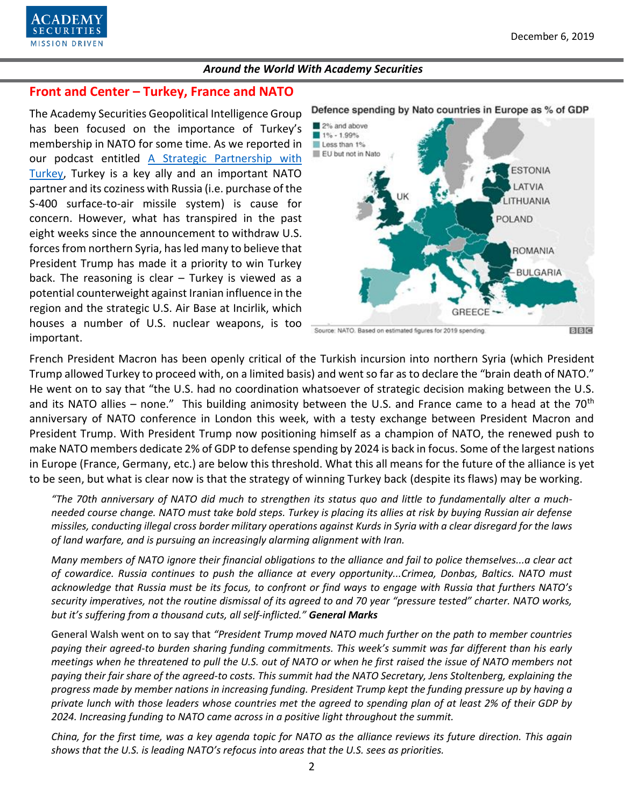

### **Front and Center – Turkey, France and NATO**

The Academy Securities Geopolitical Intelligence Group has been focused on the importance of Turkey's membership in NATO for some time. As we reported in our podcast entitled A Strategic [Partnership with](https://www.academysecurities.com/wordpress/wp-content/uploads/2019/10/Geopolitical-Flashpoints-The-Macroeconomic-Impact-of-the-Geostrategic-Landscape-Vol.-30.pdf)  [Turkey,](https://www.academysecurities.com/wordpress/wp-content/uploads/2019/10/Geopolitical-Flashpoints-The-Macroeconomic-Impact-of-the-Geostrategic-Landscape-Vol.-30.pdf) Turkey is a key ally and an important NATO partner and its coziness with Russia (i.e. purchase of the S-400 surface-to-air missile system) is cause for concern. However, what has transpired in the past eight weeks since the announcement to withdraw U.S. forces from northern Syria, has led many to believe that President Trump has made it a priority to win Turkey back. The reasoning is clear – Turkey is viewed as a potential counterweight against Iranian influence in the region and the strategic U.S. Air Base at Incirlik, which houses a number of U.S. nuclear weapons, is too important.



#### Defence spending by Nato countries in Europe as % of GDP

French President Macron has been openly critical of the Turkish incursion into northern Syria (which President Trump allowed Turkey to proceed with, on a limited basis) and went so far as to declare the "brain death of NATO." He went on to say that "the U.S. had no coordination whatsoever of strategic decision making between the U.S. and its NATO allies – none." This building animosity between the U.S. and France came to a head at the  $70<sup>th</sup>$ anniversary of NATO conference in London this week, with a testy exchange between President Macron and President Trump. With President Trump now positioning himself as a champion of NATO, the renewed push to make NATO members dedicate 2% of GDP to defense spending by 2024 is back in focus. Some of the largest nations in Europe (France, Germany, etc.) are below this threshold. What this all means for the future of the alliance is yet to be seen, but what is clear now is that the strategy of winning Turkey back (despite its flaws) may be working.

*"The 70th anniversary of NATO did much to strengthen its status quo and little to fundamentally alter a muchneeded course change. NATO must take bold steps. Turkey is placing its allies at risk by buying Russian air defense missiles, conducting illegal cross border military operations against Kurds in Syria with a clear disregard for the laws of land warfare, and is pursuing an increasingly alarming alignment with Iran.* 

*Many members of NATO ignore their financial obligations to the alliance and fail to police themselves...a clear act of cowardice. Russia continues to push the alliance at every opportunity...Crimea, Donbas, Baltics. NATO must acknowledge that Russia must be its focus, to confront or find ways to engage with Russia that furthers NATO's security imperatives, not the routine dismissal of its agreed to and 70 year "pressure tested" charter. NATO works, but it's suffering from a thousand cuts, all self-inflicted." General Marks*

General Walsh went on to say that *"President Trump moved NATO much further on the path to member countries paying their agreed-to burden sharing funding commitments. This week's summit was far different than his early meetings when he threatened to pull the U.S. out of NATO or when he first raised the issue of NATO members not paying their fair share of the agreed-to costs. This summit had the NATO Secretary, Jens Stoltenberg, explaining the progress made by member nations in increasing funding. President Trump kept the funding pressure up by having a private lunch with those leaders whose countries met the agreed to spending plan of at least 2% of their GDP by 2024. Increasing funding to NATO came across in a positive light throughout the summit.*

*China, for the first time, was a key agenda topic for NATO as the alliance reviews its future direction. This again shows that the U.S. is leading NATO's refocus into areas that the U.S. sees as priorities.*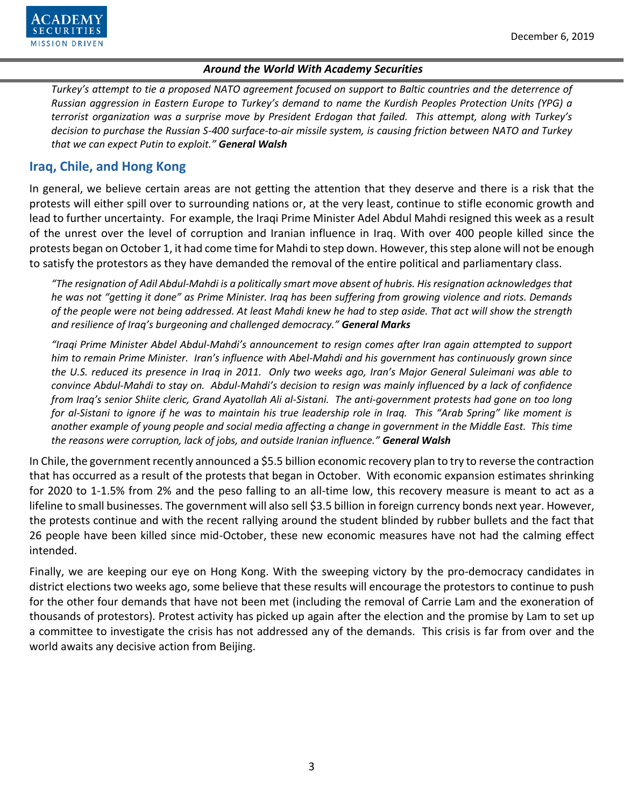

*Turkey's attempt to tie a proposed NATO agreement focused on support to Baltic countries and the deterrence of Russian aggression in Eastern Europe to Turkey's demand to name the Kurdish Peoples Protection Units (YPG) a terrorist organization was a surprise move by President Erdogan that failed. This attempt, along with Turkey's decision to purchase the Russian S-400 surface-to-air missile system, is causing friction between NATO and Turkey that we can expect Putin to exploit." General Walsh*

## **Iraq, Chile, and Hong Kong**

In general, we believe certain areas are not getting the attention that they deserve and there is a risk that the protests will either spill over to surrounding nations or, at the very least, continue to stifle economic growth and lead to further uncertainty. For example, the Iraqi Prime Minister Adel Abdul Mahdi resigned this week as a result of the unrest over the level of corruption and Iranian influence in Iraq. With over 400 people killed since the protests began on October 1, it had come time for Mahdi to step down. However, this step alone will not be enough to satisfy the protestors as they have demanded the removal of the entire political and parliamentary class.

*"The resignation of Adil Abdul-Mahdi is a politically smart move absent of hubris. His resignation acknowledges that he was not "getting it done" as Prime Minister. Iraq has been suffering from growing violence and riots. Demands of the people were not being addressed. At least Mahdi knew he had to step aside. That act will show the strength and resilience of Iraq's burgeoning and challenged democracy." General Marks*

*"Iraqi Prime Minister Abdel Abdul-Mahdi's announcement to resign comes after Iran again attempted to support him to remain Prime Minister. Iran's influence with Abel-Mahdi and his government has continuously grown since the U.S. reduced its presence in Iraq in 2011. Only two weeks ago, Iran's Major General Suleimani was able to convince Abdul-Mahdi to stay on. Abdul-Mahdi's decision to resign was mainly influenced by a lack of confidence from Iraq's senior Shiite cleric, Grand Ayatollah Ali al-Sistani. The anti-government protests had gone on too long for al-Sistani to ignore if he was to maintain his true leadership role in Iraq. This "Arab Spring" like moment is another example of young people and social media affecting a change in government in the Middle East. This time the reasons were corruption, lack of jobs, and outside Iranian influence." General Walsh*

In Chile, the government recently announced a \$5.5 billion economic recovery plan to try to reverse the contraction that has occurred as a result of the protests that began in October. With economic expansion estimates shrinking for 2020 to 1-1.5% from 2% and the peso falling to an all-time low, this recovery measure is meant to act as a lifeline to small businesses. The government will also sell \$3.5 billion in foreign currency bonds next year. However, the protests continue and with the recent rallying around the student blinded by rubber bullets and the fact that 26 people have been killed since mid-October, these new economic measures have not had the calming effect intended.

Finally, we are keeping our eye on Hong Kong. With the sweeping victory by the pro-democracy candidates in district elections two weeks ago, some believe that these results will encourage the protestors to continue to push for the other four demands that have not been met (including the removal of Carrie Lam and the exoneration of thousands of protestors). Protest activity has picked up again after the election and the promise by Lam to set up a committee to investigate the crisis has not addressed any of the demands. This crisis is far from over and the world awaits any decisive action from Beijing.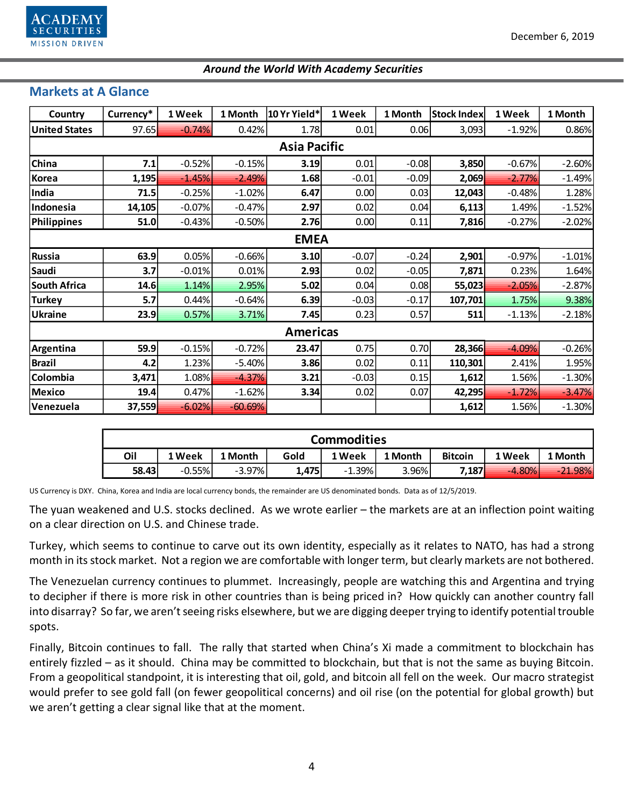

## **Markets at A Glance**

| Country              | Currency* | 1 Week   | 1 Month   | 10 Yr Yield* | 1 Week  | 1 Month | <b>Stock Index</b> | 1 Week   | 1 Month  |  |  |  |  |
|----------------------|-----------|----------|-----------|--------------|---------|---------|--------------------|----------|----------|--|--|--|--|
| <b>United States</b> | 97.65     | $-0.74%$ | 0.42%     | 1.78         | 0.01    | 0.06    | 3,093              | $-1.92%$ | 0.86%    |  |  |  |  |
| <b>Asia Pacific</b>  |           |          |           |              |         |         |                    |          |          |  |  |  |  |
| <b>China</b>         | 7.1       | $-0.52%$ | $-0.15%$  | 3.19         | 0.01    | $-0.08$ | 3,850              | $-0.67%$ | $-2.60%$ |  |  |  |  |
| Korea                | 1,195     | $-1.45%$ | $-2.49%$  | 1.68         | $-0.01$ | $-0.09$ | 2,069              | $-2.77%$ | $-1.49%$ |  |  |  |  |
| India                | 71.5      | $-0.25%$ | $-1.02%$  | 6.47         | 0.00    | 0.03    | 12,043             | $-0.48%$ | 1.28%    |  |  |  |  |
| Indonesia            | 14,105    | $-0.07%$ | $-0.47%$  | 2.97         | 0.02    | 0.04    | 6,113              | 1.49%    | $-1.52%$ |  |  |  |  |
| Philippines          | 51.0      | $-0.43%$ | $-0.50%$  | 2.76         | 0.00    | 0.11    | 7,816              | $-0.27%$ | $-2.02%$ |  |  |  |  |
| <b>EMEA</b>          |           |          |           |              |         |         |                    |          |          |  |  |  |  |
| Russia               | 63.9      | 0.05%    | $-0.66%$  | 3.10         | $-0.07$ | $-0.24$ | 2,901              | $-0.97%$ | $-1.01%$ |  |  |  |  |
| Saudi                | 3.7       | $-0.01%$ | 0.01%     | 2.93         | 0.02    | $-0.05$ | 7,871              | 0.23%    | 1.64%    |  |  |  |  |
| South Africa         | 14.6      | 1.14%    | 2.95%     | 5.02         | 0.04    | 0.08    | 55,023             | $-2.05%$ | $-2.87%$ |  |  |  |  |
| <b>Turkey</b>        | 5.7       | 0.44%    | $-0.64%$  | 6.39         | $-0.03$ | $-0.17$ | 107,701            | 1.75%    | 9.38%    |  |  |  |  |
| <b>Ukraine</b>       | 23.9      | 0.57%    | 3.71%     | 7.45         | 0.23    | 0.57    | 511                | $-1.13%$ | $-2.18%$ |  |  |  |  |
| <b>Americas</b>      |           |          |           |              |         |         |                    |          |          |  |  |  |  |
| Argentina            | 59.9      | $-0.15%$ | $-0.72%$  | 23.47        | 0.75    | 0.70    | 28,366             | $-4.09%$ | $-0.26%$ |  |  |  |  |
| <b>Brazil</b>        | 4.2       | 1.23%    | $-5.40%$  | 3.86         | 0.02    | 0.11    | 110,301            | 2.41%    | 1.95%    |  |  |  |  |
| Colombia             | 3,471     | 1.08%    | $-4.37%$  | 3.21         | $-0.03$ | 0.15    | 1,612              | 1.56%    | $-1.30%$ |  |  |  |  |
| Mexico               | 19.4      | 0.47%    | $-1.62%$  | 3.34         | 0.02    | 0.07    | 42,295             | $-1.72%$ | $-3.47%$ |  |  |  |  |
| Venezuela            | 37,559    | $-6.02%$ | $-60.69%$ |              |         |         | 1,612              | 1.56%    | $-1.30%$ |  |  |  |  |

| <b>Commodities</b> |          |           |       |          |         |                |          |           |  |  |  |  |
|--------------------|----------|-----------|-------|----------|---------|----------------|----------|-----------|--|--|--|--|
| Oil                | 1 Week   | 1 Month   | Gold  | 1 Week   | 1 Month | <b>Bitcoin</b> | 1 Week   | 1 Month   |  |  |  |  |
| 58.43              | $-0.55%$ | $-3.97\%$ | 1.475 | $-1.39%$ | 3.96%   | 7,187          | $-4.80%$ | $-21.98%$ |  |  |  |  |

US Currency is DXY. China, Korea and India are local currency bonds, the remainder are US denominated bonds. Data as of 12/5/2019.

The yuan weakened and U.S. stocks declined. As we wrote earlier – the markets are at an inflection point waiting on a clear direction on U.S. and Chinese trade.

Turkey, which seems to continue to carve out its own identity, especially as it relates to NATO, has had a strong month in its stock market. Not a region we are comfortable with longer term, but clearly markets are not bothered.

The Venezuelan currency continues to plummet. Increasingly, people are watching this and Argentina and trying to decipher if there is more risk in other countries than is being priced in? How quickly can another country fall into disarray? So far, we aren't seeing risks elsewhere, but we are digging deeper trying to identify potential trouble spots.

Finally, Bitcoin continues to fall. The rally that started when China's Xi made a commitment to blockchain has entirely fizzled – as it should. China may be committed to blockchain, but that is not the same as buying Bitcoin. From a geopolitical standpoint, it is interesting that oil, gold, and bitcoin all fell on the week. Our macro strategist would prefer to see gold fall (on fewer geopolitical concerns) and oil rise (on the potential for global growth) but we aren't getting a clear signal like that at the moment.